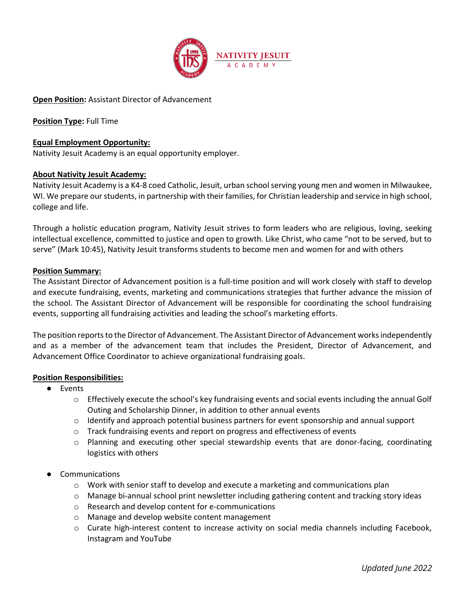

# **Open Position:** Assistant Director of Advancement

**Position Type:** Full Time

### **Equal Employment Opportunity:**

Nativity Jesuit Academy is an equal opportunity employer.

## **About Nativity Jesuit Academy:**

Nativity Jesuit Academy is a K4-8 coed Catholic, Jesuit, urban school serving young men and women in Milwaukee, WI. We prepare our students, in partnership with their families, for Christian leadership and service in high school, college and life.

Through a holistic education program, Nativity Jesuit strives to form leaders who are religious, loving, seeking intellectual excellence, committed to justice and open to growth. Like Christ, who came "not to be served, but to serve" (Mark 10:45), Nativity Jesuit transforms students to become men and women for and with others

#### **Position Summary:**

The Assistant Director of Advancement position is a full-time position and will work closely with staff to develop and execute fundraising, events, marketing and communications strategies that further advance the mission of the school. The Assistant Director of Advancement will be responsible for coordinating the school fundraising events, supporting all fundraising activities and leading the school's marketing efforts.

The position reports to the Director of Advancement. The Assistant Director of Advancement works independently and as a member of the advancement team that includes the President, Director of Advancement, and Advancement Office Coordinator to achieve organizational fundraising goals.

#### **Position Responsibilities:**

- Events
	- o Effectively execute the school's key fundraising events and social events including the annual Golf Outing and Scholarship Dinner, in addition to other annual events
	- $\circ$  Identify and approach potential business partners for event sponsorship and annual support
	- $\circ$  Track fundraising events and report on progress and effectiveness of events
	- o Planning and executing other special stewardship events that are donor-facing, coordinating logistics with others
- **Communications** 
	- $\circ$  Work with senior staff to develop and execute a marketing and communications plan
	- o Manage bi-annual school print newsletter including gathering content and tracking story ideas
	- o Research and develop content for e-communications
	- o Manage and develop website content management
	- o Curate high-interest content to increase activity on social media channels including Facebook, Instagram and YouTube